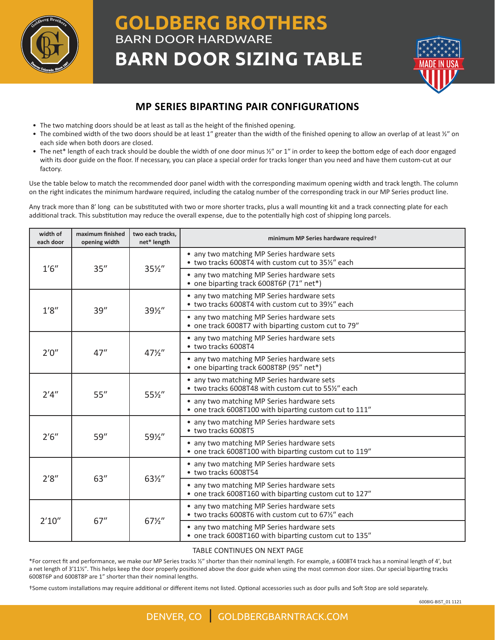

## **GOLDBERG BROTHERS** BARN DOOR HARDWARE **BARN DOOR SIZING TABLE**



## **MP SERIES BIPARTING PAIR CONFIGURATIONS**

- The two matching doors should be at least as tall as the height of the finished opening.
- The combined width of the two doors should be at least 1" greater than the width of the finished opening to allow an overlap of at least  $\frac{y}{n}$  on each side when both doors are closed.
- The net\* length of each track should be double the width of one door minus ½" or 1" in order to keep the bottom edge of each door engaged with its door guide on the floor. If necessary, you can place a special order for tracks longer than you need and have them custom-cut at our factory.

Use the table below to match the recommended door panel width with the corresponding maximum opening width and track length. The column on the right indicates the minimum hardware required, including the catalog number of the corresponding track in our MP Series product line.

Any track more than 8ʹ long can be substituted with two or more shorter tracks, plus a wall mounting kit and a track connecting plate for each additional track. This substitution may reduce the overall expense, due to the potentially high cost of shipping long parcels.

| width of<br>each door | maximum finished<br>opening width | two each tracks,<br>net* length | minimum MP Series hardware required <sup>+</sup>                                                     |
|-----------------------|-----------------------------------|---------------------------------|------------------------------------------------------------------------------------------------------|
| 1'6''                 | 35''                              | $35\frac{1}{2}$                 | • any two matching MP Series hardware sets<br>• two tracks 6008T4 with custom cut to 35½" each       |
|                       |                                   |                                 | • any two matching MP Series hardware sets<br>• one biparting track 6008T6P (71" net*)               |
| 1'8''                 | 39''                              | 391/2"                          | • any two matching MP Series hardware sets<br>• two tracks 6008T4 with custom cut to 39%" each       |
|                       |                                   |                                 | • any two matching MP Series hardware sets<br>• one track 6008T7 with biparting custom cut to 79"    |
| 2'0''                 | 47''                              | $47\frac{1}{2}$                 | • any two matching MP Series hardware sets<br>• two tracks 6008T4                                    |
|                       |                                   |                                 | • any two matching MP Series hardware sets<br>• one biparting track 6008T8P (95" net*)               |
| 2'4''                 | 55''                              | 55½"                            | • any two matching MP Series hardware sets<br>• two tracks 6008T48 with custom cut to 55%" each      |
|                       |                                   |                                 | • any two matching MP Series hardware sets<br>• one track 6008T100 with biparting custom cut to 111" |
| 2'6''                 | 59''                              | 591/2"                          | • any two matching MP Series hardware sets<br>• two tracks 6008T5                                    |
|                       |                                   |                                 | • any two matching MP Series hardware sets<br>• one track 6008T100 with biparting custom cut to 119" |
| 2'8''                 | 63''                              | 63½"                            | • any two matching MP Series hardware sets<br>• two tracks 6008T54                                   |
|                       |                                   |                                 | • any two matching MP Series hardware sets<br>• one track 6008T160 with biparting custom cut to 127" |
| 2'10''                | 67''                              | $67\frac{1}{2}$                 | • any two matching MP Series hardware sets<br>• two tracks 6008T6 with custom cut to 671/2" each     |
|                       |                                   |                                 | • any two matching MP Series hardware sets<br>• one track 6008T160 with biparting custom cut to 135" |

## TABLE CONTINUES ON NEXT PAGE

\*For correct fit and performance, we make our MP Series tracks ½ʺ shorter than their nominal length. For example, a 6008T4 track has a nominal length of 4ʹ, but a net length of 3'11½". This helps keep the door properly positioned above the door guide when using the most common door sizes. Our special biparting tracks 6008T6P and 6008T8P are 1" shorter than their nominal lengths.

†Some custom installations may require additional or different items not listed. Optional accessories such as door pulls and Soft Stop are sold separately.